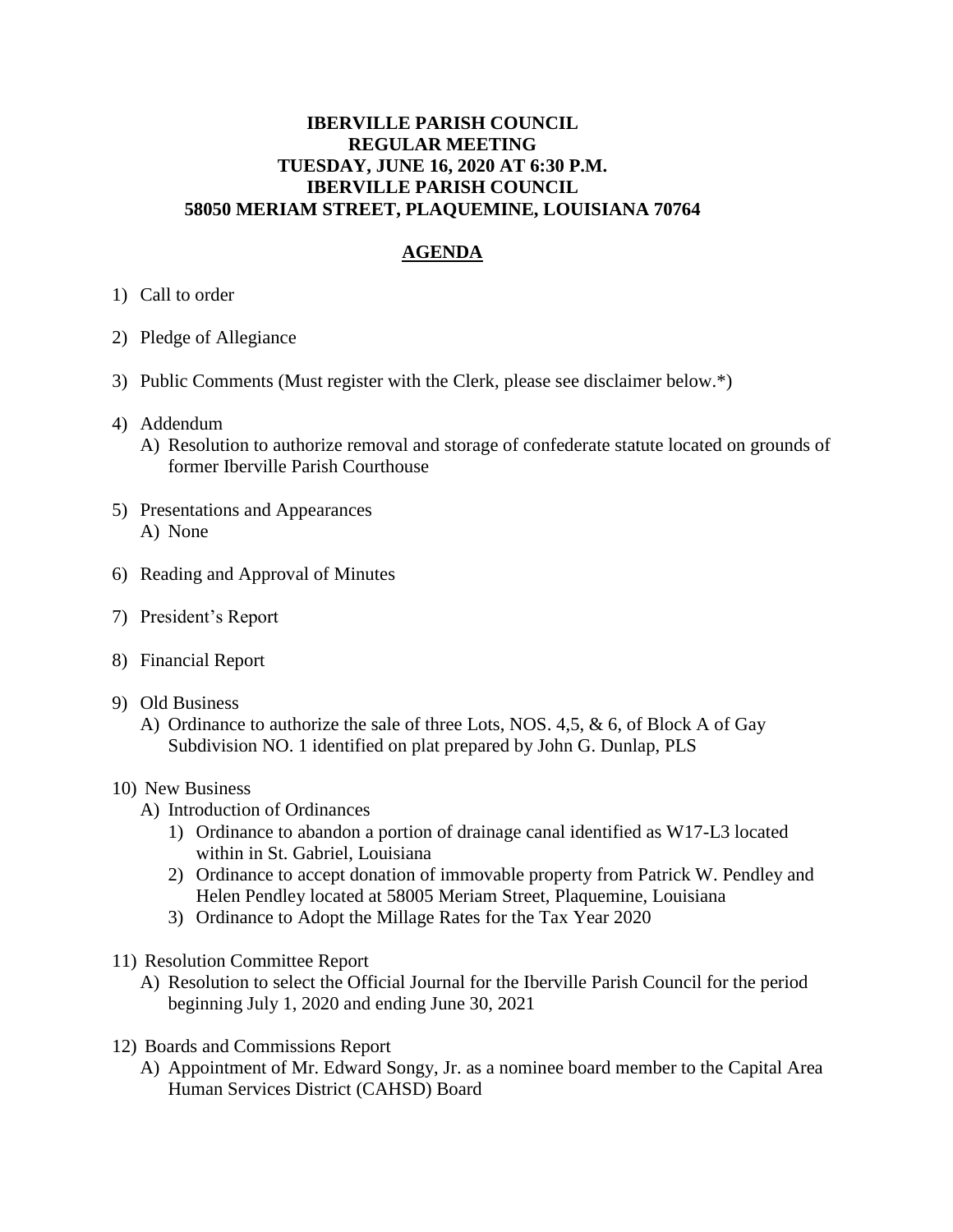## **IBERVILLE PARISH COUNCIL REGULAR MEETING TUESDAY, JUNE 16, 2020 AT 6:30 P.M. IBERVILLE PARISH COUNCIL 58050 MERIAM STREET, PLAQUEMINE, LOUISIANA 70764**

## **AGENDA**

- 1) Call to order
- 2) Pledge of Allegiance
- 3) Public Comments (Must register with the Clerk, please see disclaimer below.\*)
- 4) Addendum
	- A) Resolution to authorize removal and storage of confederate statute located on grounds of former Iberville Parish Courthouse
- 5) Presentations and Appearances A) None
- 6) Reading and Approval of Minutes
- 7) President's Report
- 8) Financial Report
- 9) Old Business
	- A) Ordinance to authorize the sale of three Lots, NOS. 4,5, & 6, of Block A of Gay Subdivision NO. 1 identified on plat prepared by John G. Dunlap, PLS

## 10) New Business

- A) Introduction of Ordinances
	- 1) Ordinance to abandon a portion of drainage canal identified as W17-L3 located within in St. Gabriel, Louisiana
	- 2) Ordinance to accept donation of immovable property from Patrick W. Pendley and Helen Pendley located at 58005 Meriam Street, Plaquemine, Louisiana
	- 3) Ordinance to Adopt the Millage Rates for the Tax Year 2020
- 11) Resolution Committee Report
	- A) Resolution to select the Official Journal for the Iberville Parish Council for the period beginning July 1, 2020 and ending June 30, 2021
- 12) Boards and Commissions Report
	- A) Appointment of Mr. Edward Songy, Jr. as a nominee board member to the Capital Area Human Services District (CAHSD) Board